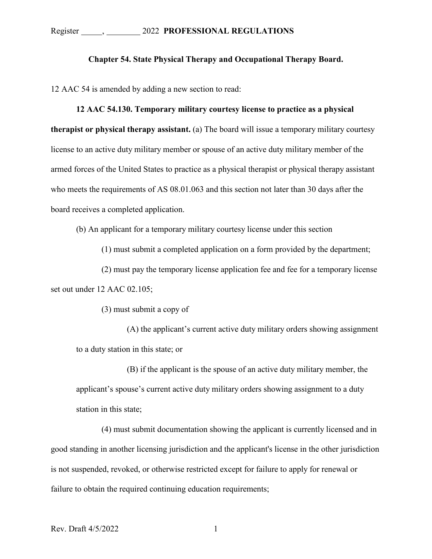## **Chapter 54. State Physical Therapy and Occupational Therapy Board.**

12 AAC 54 is amended by adding a new section to read:

## **12 AAC 54.130. Temporary military courtesy license to practice as a physical**

**therapist or physical therapy assistant.** (a) The board will issue a temporary military courtesy license to an active duty military member or spouse of an active duty military member of the armed forces of the United States to practice as a physical therapist or physical therapy assistant who meets the requirements of AS 08.01.063 and this section not later than 30 days after the board receives a completed application.

(b) An applicant for a temporary military courtesy license under this section

(1) must submit a completed application on a form provided by the department;

(2) must pay the temporary license application fee and fee for a temporary license set out under 12 AAC 02.105;

(3) must submit a copy of

(A) the applicant's current active duty military orders showing assignment to a duty station in this state; or

(B) if the applicant is the spouse of an active duty military member, the applicant's spouse's current active duty military orders showing assignment to a duty station in this state;

(4) must submit documentation showing the applicant is currently licensed and in good standing in another licensing jurisdiction and the applicant's license in the other jurisdiction is not suspended, revoked, or otherwise restricted except for failure to apply for renewal or failure to obtain the required continuing education requirements;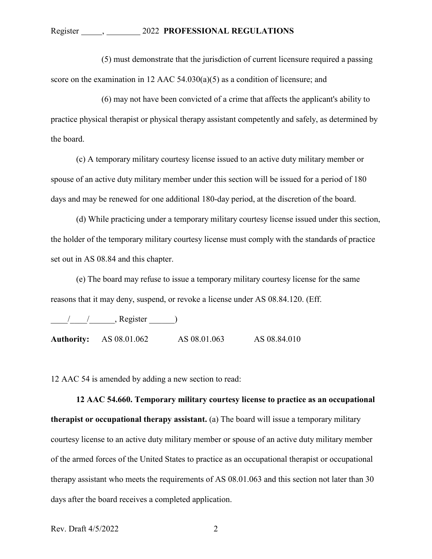(5) must demonstrate that the jurisdiction of current licensure required a passing score on the examination in 12 AAC 54.030(a)(5) as a condition of licensure; and

(6) may not have been convicted of a crime that affects the applicant's ability to practice physical therapist or physical therapy assistant competently and safely, as determined by the board.

(c) A temporary military courtesy license issued to an active duty military member or spouse of an active duty military member under this section will be issued for a period of 180 days and may be renewed for one additional 180-day period, at the discretion of the board.

(d) While practicing under a temporary military courtesy license issued under this section, the holder of the temporary military courtesy license must comply with the standards of practice set out in AS 08.84 and this chapter.

(e) The board may refuse to issue a temporary military courtesy license for the same reasons that it may deny, suspend, or revoke a license under AS 08.84.120. (Eff.

 $\frac{1}{2}$   $\frac{1}{2}$ , Register  $\frac{1}{2}$ 

**Authority:** AS 08.01.062 AS 08.01.063 AS 08.84.010

12 AAC 54 is amended by adding a new section to read:

**12 AAC 54.660. Temporary military courtesy license to practice as an occupational therapist or occupational therapy assistant.** (a) The board will issue a temporary military courtesy license to an active duty military member or spouse of an active duty military member of the armed forces of the United States to practice as an occupational therapist or occupational therapy assistant who meets the requirements of AS 08.01.063 and this section not later than 30 days after the board receives a completed application.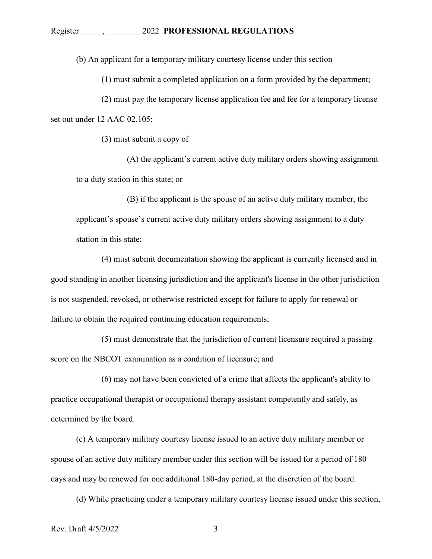(b) An applicant for a temporary military courtesy license under this section

(1) must submit a completed application on a form provided by the department;

(2) must pay the temporary license application fee and fee for a temporary license set out under 12 AAC 02.105;

(3) must submit a copy of

(A) the applicant's current active duty military orders showing assignment to a duty station in this state; or

(B) if the applicant is the spouse of an active duty military member, the applicant's spouse's current active duty military orders showing assignment to a duty station in this state;

(4) must submit documentation showing the applicant is currently licensed and in good standing in another licensing jurisdiction and the applicant's license in the other jurisdiction is not suspended, revoked, or otherwise restricted except for failure to apply for renewal or failure to obtain the required continuing education requirements;

(5) must demonstrate that the jurisdiction of current licensure required a passing score on the NBCOT examination as a condition of licensure; and

(6) may not have been convicted of a crime that affects the applicant's ability to practice occupational therapist or occupational therapy assistant competently and safely, as determined by the board.

(c) A temporary military courtesy license issued to an active duty military member or spouse of an active duty military member under this section will be issued for a period of 180 days and may be renewed for one additional 180-day period, at the discretion of the board.

(d) While practicing under a temporary military courtesy license issued under this section,